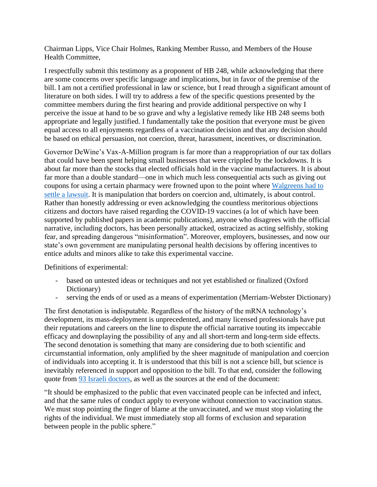Chairman Lipps, Vice Chair Holmes, Ranking Member Russo, and Members of the House Health Committee,

I respectfully submit this testimony as a proponent of HB 248, while acknowledging that there are some concerns over specific language and implications, but in favor of the premise of the bill. I am not a certified professional in law or science, but I read through a significant amount of literature on both sides. I will try to address a few of the specific questions presented by the committee members during the first hearing and provide additional perspective on why I perceive the issue at hand to be so grave and why a legislative remedy like HB 248 seems both appropriate and legally justified. I fundamentally take the position that everyone must be given equal access to all enjoyments regardless of a vaccination decision and that any decision should be based on ethical persuasion, not coercion, threat, harassment, incentives, or discrimination.

Governor DeWine's Vax-A-Million program is far more than a reappropriation of our tax dollars that could have been spent helping small businesses that were crippled by the lockdowns. It is about far more than the stocks that elected officials hold in the vaccine manufacturers. It is about far more than a double standard—one in which much less consequential acts such as giving out coupons for using a certain pharmacy were frowned upon to the point where [Walgreens had to](https://www.justice.gov/opa/pr/walgreens-pharmacy-chain-pays-79-million-resolve-false-prescription-billing-case) [settle a lawsuit.](https://www.justice.gov/opa/pr/walgreens-pharmacy-chain-pays-79-million-resolve-false-prescription-billing-case) It is manipulation that borders on coercion and, ultimately, is about control. Rather than honestly addressing or even acknowledging the countless meritorious objections citizens and doctors have raised regarding the COVID-19 vaccines (a lot of which have been supported by published papers in academic publications), anyone who disagrees with the official narrative, including doctors, has been personally attacked, ostracized as acting selfishly, stoking fear, and spreading dangerous "misinformation". Moreover, employers, businesses, and now our state's own government are manipulating personal health decisions by offering incentives to entice adults and minors alike to take this experimental vaccine.

Definitions of experimental:

- based on untested ideas or techniques and not yet established or finalized (Oxford Dictionary)
- serving the ends of or used as a means of experimentation (Merriam-Webster Dictionary)

The first denotation is indisputable. Regardless of the history of the mRNA technology's development, its mass-deployment is unprecedented, and many licensed professionals have put their reputations and careers on the line to dispute the official narrative touting its impeccable efficacy and downplaying the possibility of any and all short-term and long-term side effects. The second denotation is something that many are considering due to both scientific and circumstantial information, only amplified by the sheer magnitude of manipulation and coercion of individuals into accepting it. It is understood that this bill is not a science bill, but science is inevitably referenced in support and opposition to the bill. To that end, consider the following quote from [93 Israeli doctors,](https://www.israelnationalnews.com/News/News.aspx/304124) as well as the sources at the end of the document:

"It should be emphasized to the public that even vaccinated people can be infected and infect, and that the same rules of conduct apply to everyone without connection to vaccination status. We must stop pointing the finger of blame at the unvaccinated, and we must stop violating the rights of the individual. We must immediately stop all forms of exclusion and separation between people in the public sphere."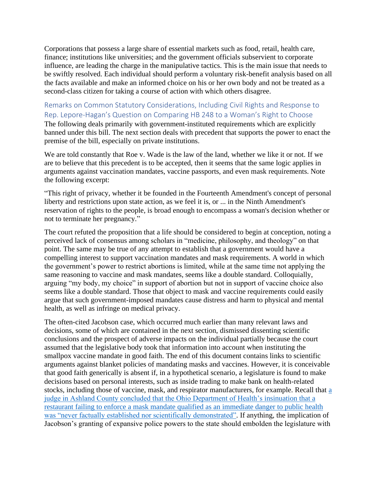Corporations that possess a large share of essential markets such as food, retail, health care, finance; institutions like universities; and the government officials subservient to corporate influence, are leading the charge in the manipulative tactics. This is the main issue that needs to be swiftly resolved. Each individual should perform a voluntary risk-benefit analysis based on all the facts available and make an informed choice on his or her own body and not be treated as a second-class citizen for taking a course of action with which others disagree.

Remarks on Common Statutory Considerations, Including Civil Rights and Response to Rep. Lepore-Hagan's Question on Comparing HB 248 to a Woman's Right to Choose The following deals primarily with government-instituted requirements which are explicitly banned under this bill. The next section deals with precedent that supports the power to enact the premise of the bill, especially on private institutions.

We are told constantly that Roe v. Wade is the law of the land, whether we like it or not. If we are to believe that this precedent is to be accepted, then it seems that the same logic applies in arguments against vaccination mandates, vaccine passports, and even mask requirements. Note the following excerpt:

"This right of privacy, whether it be founded in the Fourteenth Amendment's concept of personal liberty and restrictions upon state action, as we feel it is, or ... in the Ninth Amendment's reservation of rights to the people, is broad enough to encompass a woman's decision whether or not to terminate her pregnancy."

The court refuted the proposition that a life should be considered to begin at conception, noting a perceived lack of consensus among scholars in "medicine, philosophy, and theology" on that point. The same may be true of any attempt to establish that a government would have a compelling interest to support vaccination mandates and mask requirements. A world in which the government's power to restrict abortions is limited, while at the same time not applying the same reasoning to vaccine and mask mandates, seems like a double standard. Colloquially, arguing "my body, my choice" in support of abortion but not in support of vaccine choice also seems like a double standard. Those that object to mask and vaccine requirements could easily argue that such government-imposed mandates cause distress and harm to physical and mental health, as well as infringe on medical privacy.

The often-cited Jacobson case, which occurred much earlier than many relevant laws and decisions, some of which are contained in the next section, dismissed dissenting scientific conclusions and the prospect of adverse impacts on the individual partially because the court assumed that the legislative body took that information into account when instituting the smallpox vaccine mandate in good faith. The end of this document contains links to scientific arguments against blanket policies of mandating masks and vaccines. However, it is conceivable that good faith generically is absent if, in a hypothetical scenario, a legislature is found to make decisions based on personal interests, such as inside trading to make bank on health-related stocks, including those of vaccine, mask, and respirator manufacturers, for example. Recall that [a](https://drive.google.com/file/d/1vtR4uY8rQWCi6kjg5KIrMjEDto5JCxtX/view)  [judge in Ashland County concluded that the Ohio Department of Health's insinuation that a](https://drive.google.com/file/d/1vtR4uY8rQWCi6kjg5KIrMjEDto5JCxtX/view)  [restaurant failing to enforce a mask mandate qualified as an immediate danger to public health](https://drive.google.com/file/d/1vtR4uY8rQWCi6kjg5KIrMjEDto5JCxtX/view)  [was "never factually established nor scientifically demonstrated".](https://drive.google.com/file/d/1vtR4uY8rQWCi6kjg5KIrMjEDto5JCxtX/view) If anything, the implication of Jacobson's granting of expansive police powers to the state should embolden the legislature with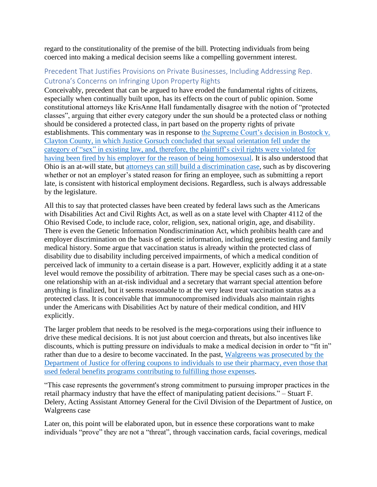regard to the constitutionality of the premise of the bill. Protecting individuals from being coerced into making a medical decision seems like a compelling government interest.

## Precedent That Justifies Provisions on Private Businesses, Including Addressing Rep. Cutrona's Concerns on Infringing Upon Property Rights

Conceivably, precedent that can be argued to have eroded the fundamental rights of citizens, especially when continually built upon, has its effects on the court of public opinion. Some constitutional attorneys like KrisAnne Hall fundamentally disagree with the notion of "protected classes", arguing that either every category under the sun should be a protected class or nothing should be considered a protected class, in part based on the property rights of private establishments. This commentary was in response to [the Supreme Court's decision in Bostock v.](https://www.supremecourt.gov/opinions/19pdf/17-1618_hfci.pdf)  [Clayton County, in which Justice Gorsuch concluded that sexual orientation fell under the](https://www.supremecourt.gov/opinions/19pdf/17-1618_hfci.pdf)  [category of "sex" in existing law, and, therefore, the plaintiff's civil rights were violated for](https://www.supremecourt.gov/opinions/19pdf/17-1618_hfci.pdf)  [having been fired by his employer for the reason of being](https://www.supremecourt.gov/opinions/19pdf/17-1618_hfci.pdf) homosexual. It is also understood that Ohio is an at-will state, but [attorneys can still build](https://www.youtube.com/watch?v=aNYoLdIPRt4) a discrimination case, such as by discovering whether or not an employer's stated reason for firing an employee, such as submitting a report late, is consistent with historical employment decisions. Regardless, such is always addressable by the legislature.

All this to say that protected classes have been created by federal laws such as the Americans with Disabilities Act and Civil Rights Act, as well as on a state level with Chapter 4112 of the Ohio Revised Code, to include race, color, religion, sex, national origin, age, and disability. There is even the Genetic Information Nondiscrimination Act, which prohibits health care and employer discrimination on the basis of genetic information, including genetic testing and family medical history. Some argue that vaccination status is already within the protected class of disability due to disability including perceived impairments, of which a medical condition of perceived lack of immunity to a certain disease is a part. However, explicitly adding it at a state level would remove the possibility of arbitration. There may be special cases such as a one-onone relationship with an at-risk individual and a secretary that warrant special attention before anything is finalized, but it seems reasonable to at the very least treat vaccination status as a protected class. It is conceivable that immunocompromised individuals also maintain rights under the Americans with Disabilities Act by nature of their medical condition, and HIV explicitly.

The larger problem that needs to be resolved is the mega-corporations using their influence to drive these medical decisions. It is not just about coercion and threats, but also incentives like discounts, which is putting pressure on individuals to make a medical decision in order to "fit in" rather than due to a desire to become vaccinated. In the past, [Walgreens was prosecuted by the](https://www.justice.gov/opa/pr/walgreens-pharmacy-chain-pays-79-million-resolve-false-prescription-billing-case)  [Department of Justice for offering coupons to individuals to use their pharmacy, even those that](https://www.justice.gov/opa/pr/walgreens-pharmacy-chain-pays-79-million-resolve-false-prescription-billing-case)  [used federal benefits programs contributing to fulfilling those expenses.](https://www.justice.gov/opa/pr/walgreens-pharmacy-chain-pays-79-million-resolve-false-prescription-billing-case)

"This case represents the government's strong commitment to pursuing improper practices in the retail pharmacy industry that have the effect of manipulating patient decisions." – Stuart F. Delery, Acting Assistant Attorney General for the Civil Division of the Department of Justice, on Walgreens case

Later on, this point will be elaborated upon, but in essence these corporations want to make individuals "prove" they are not a "threat", through vaccination cards, facial coverings, medical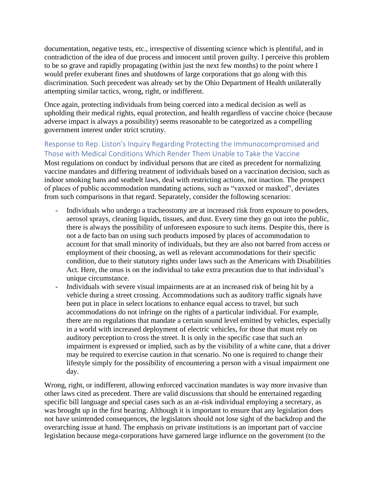documentation, negative tests, etc., irrespective of dissenting science which is plentiful, and in contradiction of the idea of due process and innocent until proven guilty. I perceive this problem to be so grave and rapidly propagating (within just the next few months) to the point where I would prefer exuberant fines and shutdowns of large corporations that go along with this discrimination. Such precedent was already set by the Ohio Department of Health unilaterally attempting similar tactics, wrong, right, or indifferent.

Once again, protecting individuals from being coerced into a medical decision as well as upholding their medical rights, equal protection, and health regardless of vaccine choice (because adverse impact is always a possibility) seems reasonable to be categorized as a compelling government interest under strict scrutiny.

# Response to Rep. Liston's Inquiry Regarding Protecting the Immunocompromised and Those with Medical Conditions Which Render Them Unable to Take the Vaccine

Most regulations on conduct by individual persons that are cited as precedent for normalizing vaccine mandates and differing treatment of individuals based on a vaccination decision, such as indoor smoking bans and seatbelt laws, deal with restricting actions, not inaction. The prospect of places of public accommodation mandating actions, such as "vaxxed or masked", deviates from such comparisons in that regard. Separately, consider the following scenarios:

- Individuals who undergo a tracheostomy are at increased risk from exposure to powders, aerosol sprays, cleaning liquids, tissues, and dust. Every time they go out into the public, there is always the possibility of unforeseen exposure to such items. Despite this, there is not a de facto ban on using such products imposed by places of accommodation to account for that small minority of individuals, but they are also not barred from access or employment of their choosing, as well as relevant accommodations for their specific condition, due to their statutory rights under laws such as the Americans with Disabilities Act. Here, the onus is on the individual to take extra precaution due to that individual's unique circumstance.
- Individuals with severe visual impairments are at an increased risk of being hit by a vehicle during a street crossing. Accommodations such as auditory traffic signals have been put in place in select locations to enhance equal access to travel, but such accommodations do not infringe on the rights of a particular individual. For example, there are no regulations that mandate a certain sound level emitted by vehicles, especially in a world with increased deployment of electric vehicles, for those that must rely on auditory perception to cross the street. It is only in the specific case that such an impairment is expressed or implied, such as by the visibility of a white cane, that a driver may be required to exercise caution in that scenario. No one is required to change their lifestyle simply for the possibility of encountering a person with a visual impairment one day.

Wrong, right, or indifferent, allowing enforced vaccination mandates is way more invasive than other laws cited as precedent. There are valid discussions that should be entertained regarding specific bill language and special cases such as an at-risk individual employing a secretary, as was brought up in the first hearing. Although it is important to ensure that any legislation does not have unintended consequences, the legislators should not lose sight of the backdrop and the overarching issue at hand. The emphasis on private institutions is an important part of vaccine legislation because mega-corporations have garnered large influence on the government (to the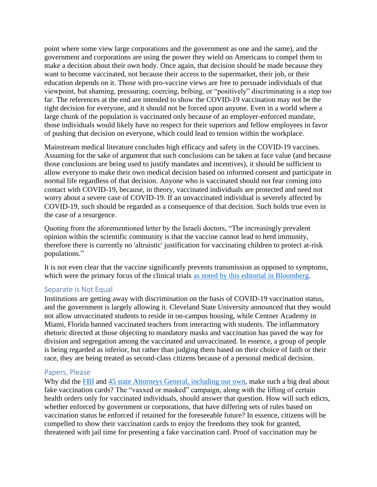point where some view large corporations and the government as one and the same), and the government and corporations are using the power they wield on Americans to compel them to make a decision about their own body. Once again, that decision should be made because they want to become vaccinated, not because their access to the supermarket, their job, or their education depends on it. Those with pro-vaccine views are free to persuade individuals of that viewpoint, but shaming, pressuring, coercing, bribing, or "positively" discriminating is a step too far. The references at the end are intended to show the COVID-19 vaccination may not be the right decision for everyone, and it should not be forced upon anyone. Even in a world where a large chunk of the population is vaccinated only because of an employer-enforced mandate, those individuals would likely have no respect for their superiors and fellow employees in favor of pushing that decision on everyone, which could lead to tension within the workplace.

Mainstream medical literature concludes high efficacy and safety in the COVID-19 vaccines. Assuming for the sake of argument that such conclusions can be taken at face value (and because those conclusions are being used to justify mandates and incentives), it should be sufficient to allow everyone to make their own medical decision based on informed consent and participate in normal life regardless of that decision. Anyone who is vaccinated should not fear coming into contact with COVID-19, because, in theory, vaccinated individuals are protected and need not worry about a severe case of COVID-19. If an unvaccinated individual is severely affected by COVID-19, such should be regarded as a consequence of that decision. Such holds true even in the case of a resurgence.

Quoting from the aforementioned letter by the Israeli doctors, "The increasingly prevalent opinion within the scientific community is that the vaccine cannot lead to herd immunity, therefore there is currently no 'altruistic' justification for vaccinating children to protect at-risk populations."

It is not even clear that the vaccine significantly prevents transmission as opposed to symptoms, which were the primary focus of the clinical trials [as noted by this editorial in Bloomberg.](https://www.bloomberg.com/opinion/articles/2020-12-21/do-covid-19-vaccines-stop-transmission-or-just-weaken-symptoms)

### Separate is Not Equal

Institutions are getting away with discrimination on the basis of COVID-19 vaccination status, and the government is largely allowing it. Cleveland State University announced that they would not allow unvaccinated students to reside in on-campus housing, while Centner Academy in Miami, Florida banned vaccinated teachers from interacting with students. The inflammatory rhetoric directed at those objecting to mandatory masks and vaccination has paved the way for division and segregation among the vaccinated and unvaccinated. In essence, a group of people is being regarded as inferior, but rather than judging them based on their choice of faith or their race, they are being treated as second-class citizens because of a personal medical decision.

### Papers, Please

Why did the [FBI](https://www.ic3.gov/Media/Y2021/PSA210330) and [45 state Attorneys General, including our own,](https://www.wfmynews2.com/article/news/local/2-wants-to-know/nc-leads-the-fight-against-fake-covid-vaccine-cards-sold-online-nc-ag-josh-stein-leads-44-other-attorneys-general/83-a853c71d-98f2-48fc-a56b-e092a6f6afea) make such a big deal about fake vaccination cards? The "vaxxed or masked" campaign, along with the lifting of certain health orders only for vaccinated individuals, should answer that question. How will such edicts, whether enforced by government or corporations, that have differing sets of rules based on vaccination status be enforced if retained for the foreseeable future? In essence, citizens will be compelled to show their vaccination cards to enjoy the freedoms they took for granted, threatened with jail time for presenting a fake vaccination card. Proof of vaccination may be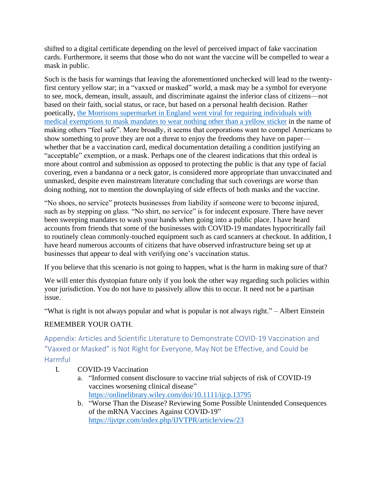shifted to a digital certificate depending on the level of perceived impact of fake vaccination cards. Furthermore, it seems that those who do not want the vaccine will be compelled to wear a mask in public.

Such is the basis for warnings that leaving the aforementioned unchecked will lead to the twentyfirst century yellow star; in a "vaxxed or masked" world, a mask may be a symbol for everyone to see, mock, demean, insult, assault, and discriminate against the inferior class of citizens—not based on their faith, social status, or race, but based on a personal health decision. Rather poetically, [the Morrisons supermarket in England went viral for requiring individuals with](https://toresays.com/2021/02/18/the-new-order-uk-edition-plagiarized-adolf-hitlers-playbook/)  [medical exemptions to mask mandates to wear nothing other than a yellow sticker](https://toresays.com/2021/02/18/the-new-order-uk-edition-plagiarized-adolf-hitlers-playbook/) in the name of making others "feel safe". More broadly, it seems that corporations want to compel Americans to show something to prove they are not a threat to enjoy the freedoms they have on paper whether that be a vaccination card, medical documentation detailing a condition justifying an "acceptable" exemption, or a mask. Perhaps one of the clearest indications that this ordeal is more about control and submission as opposed to protecting the public is that any type of facial covering, even a bandanna or a neck gator, is considered more appropriate than unvaccinated and unmasked, despite even mainstream literature concluding that such coverings are worse than doing nothing, not to mention the downplaying of side effects of both masks and the vaccine.

"No shoes, no service" protects businesses from liability if someone were to become injured, such as by stepping on glass. "No shirt, no service" is for indecent exposure. There have never been sweeping mandates to wash your hands when going into a public place. I have heard accounts from friends that some of the businesses with COVID-19 mandates hypocritically fail to routinely clean commonly-touched equipment such as card scanners at checkout. In addition, I have heard numerous accounts of citizens that have observed infrastructure being set up at businesses that appear to deal with verifying one's vaccination status.

If you believe that this scenario is not going to happen, what is the harm in making sure of that?

We will enter this dystopian future only if you look the other way regarding such policies within your jurisdiction. You do not have to passively allow this to occur. It need not be a partisan issue.

"What is right is not always popular and what is popular is not always right." – Albert Einstein

# REMEMBER YOUR OATH.

Appendix: Articles and Scientific Literature to Demonstrate COVID-19 Vaccination and "Vaxxed or Masked" is Not Right for Everyone, May Not be Effective, and Could be Harmful

- I. COVID-19 Vaccination
	- a. "Informed consent disclosure to vaccine trial subjects of risk of COVID-19 vaccines worsening clinical disease" <https://onlinelibrary.wiley.com/doi/10.1111/ijcp.13795>
	- b. "Worse Than the Disease? Reviewing Some Possible Unintended Consequences of the mRNA Vaccines Against COVID-19" <https://ijvtpr.com/index.php/IJVTPR/article/view/23>